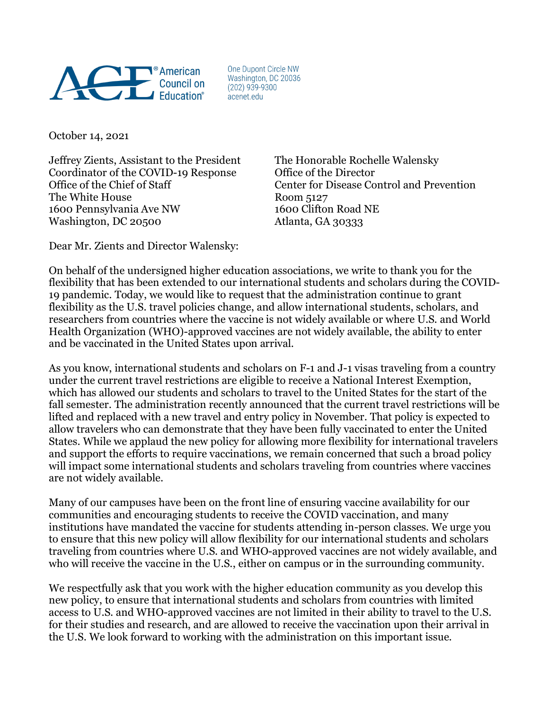

One Dupont Circle NW Washington, DC 20036  $(202)$  939-9300 acenet.edu

October 14, 2021

Jeffrey Zients, Assistant to the President The Honorable Rochelle Walensky Coordinator of the COVID-19 Response Office of the Director The White House Room 5127 1600 Pennsylvania Ave NW 1600 Clifton Road NE Washington, DC 20500 Atlanta, GA 30333

Office of the Chief of Staff Center for Disease Control and Prevention

Dear Mr. Zients and Director Walensky:

On behalf of the undersigned higher education associations, we write to thank you for the flexibility that has been extended to our international students and scholars during the COVID-19 pandemic. Today, we would like to request that the administration continue to grant flexibility as the U.S. travel policies change, and allow international students, scholars, and researchers from countries where the vaccine is not widely available or where U.S. and World Health Organization (WHO)-approved vaccines are not widely available, the ability to enter and be vaccinated in the United States upon arrival.

As you know, international students and scholars on F-1 and J-1 visas traveling from a country under the current travel restrictions are eligible to receive a National Interest Exemption, which has allowed our students and scholars to travel to the United States for the start of the fall semester. The administration recently announced that the current travel restrictions will be lifted and replaced with a new travel and entry policy in November. That policy is expected to allow travelers who can demonstrate that they have been fully vaccinated to enter the United States. While we applaud the new policy for allowing more flexibility for international travelers and support the efforts to require vaccinations, we remain concerned that such a broad policy will impact some international students and scholars traveling from countries where vaccines are not widely available.

Many of our campuses have been on the front line of ensuring vaccine availability for our communities and encouraging students to receive the COVID vaccination, and many institutions have mandated the vaccine for students attending in-person classes. We urge you to ensure that this new policy will allow flexibility for our international students and scholars traveling from countries where U.S. and WHO-approved vaccines are not widely available, and who will receive the vaccine in the U.S., either on campus or in the surrounding community.

We respectfully ask that you work with the higher education community as you develop this new policy, to ensure that international students and scholars from countries with limited access to U.S. and WHO-approved vaccines are not limited in their ability to travel to the U.S. for their studies and research, and are allowed to receive the vaccination upon their arrival in the U.S. We look forward to working with the administration on this important issue.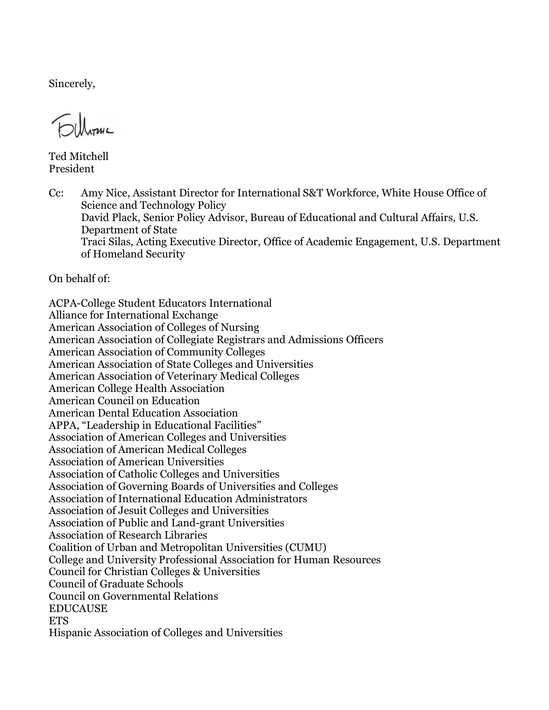Sincerely,

Ted Mitchell President

Cc: Amy Nice, Assistant Director for International S&T Workforce, White House Office of Science and Technology Policy David Plack, Senior Policy Advisor, Bureau of Educational and Cultural Affairs, U.S. Department of State Traci Silas, Acting Executive Director, Office of Academic Engagement, U.S. Department of Homeland Security

On behalf of:

ACPA-College Student Educators International Alliance for International Exchange American Association of Colleges of Nursing American Association of Collegiate Registrars and Admissions Officers American Association of Community Colleges American Association of State Colleges and Universities American Association of Veterinary Medical Colleges American College Health Association American Council on Education American Dental Education Association APPA, "Leadership in Educational Facilities" Association of American Colleges and Universities Association of American Medical Colleges Association of American Universities Association of Catholic Colleges and Universities Association of Governing Boards of Universities and Colleges Association of International Education Administrators Association of Jesuit Colleges and Universities Association of Public and Land-grant Universities Association of Research Libraries Coalition of Urban and Metropolitan Universities (CUMU) College and University Professional Association for Human Resources Council for Christian Colleges & Universities Council of Graduate Schools Council on Governmental Relations EDUCAUSE **ETS** Hispanic Association of Colleges and Universities